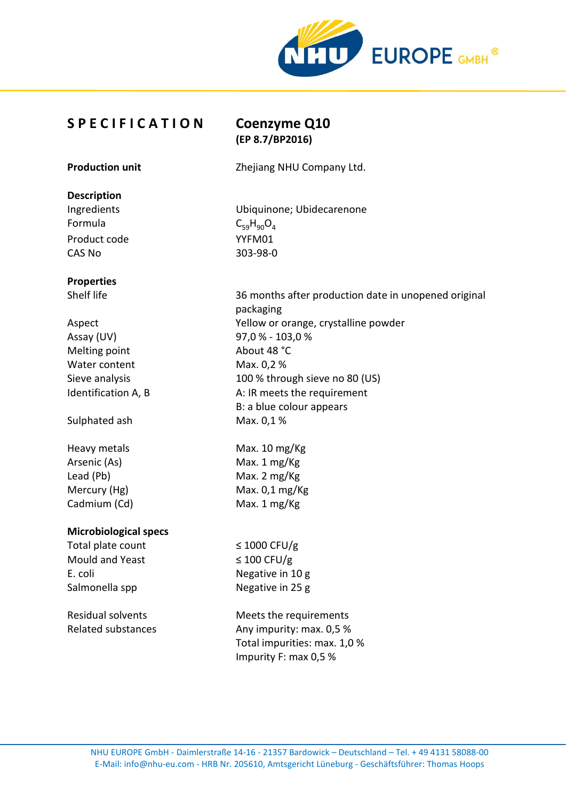

# **S P E C I F I C A T I O N Coenzyme Q10**

**(EP 8.7/BP2016)**

**Production unit** Zhejiang NHU Company Ltd.

#### **Description**

Formula  $C_{59}H_{90}O_4$ Product code YYFM01 CAS No 303-98-0

### **Properties**

Assay (UV) 97,0 % - 103,0 % Melting point About 48 °C Water content Max. 0,2 %

Sulphated ash Max. 0,1%

Heavy metals Max. 10 mg/Kg Arsenic (As) Max. 1 mg/Kg Lead (Pb) Max. 2 mg/Kg Cadmium (Cd) Max. 1 mg/Kg

#### **Microbiological specs**

Total plate count  $\leq 1000$  CFU/g Mould and Yeast  $\leq 100$  CFU/g E. coli Negative in 10 g Salmonella spp Negative in 25 g

Ingredients Ubiquinone; Ubidecarenone

Shelf life 36 months after production date in unopened original packaging Aspect Yellow or orange, crystalline powder Sieve analysis 100 % through sieve no 80 (US) Identification A, B A: IR meets the requirement B: a blue colour appears

Mercury (Hg) Max. 0,1 mg/Kg

Residual solvents Meets the requirements Related substances Any impurity: max. 0.5 % Total impurities: max. 1,0 % Impurity F: max 0,5 %